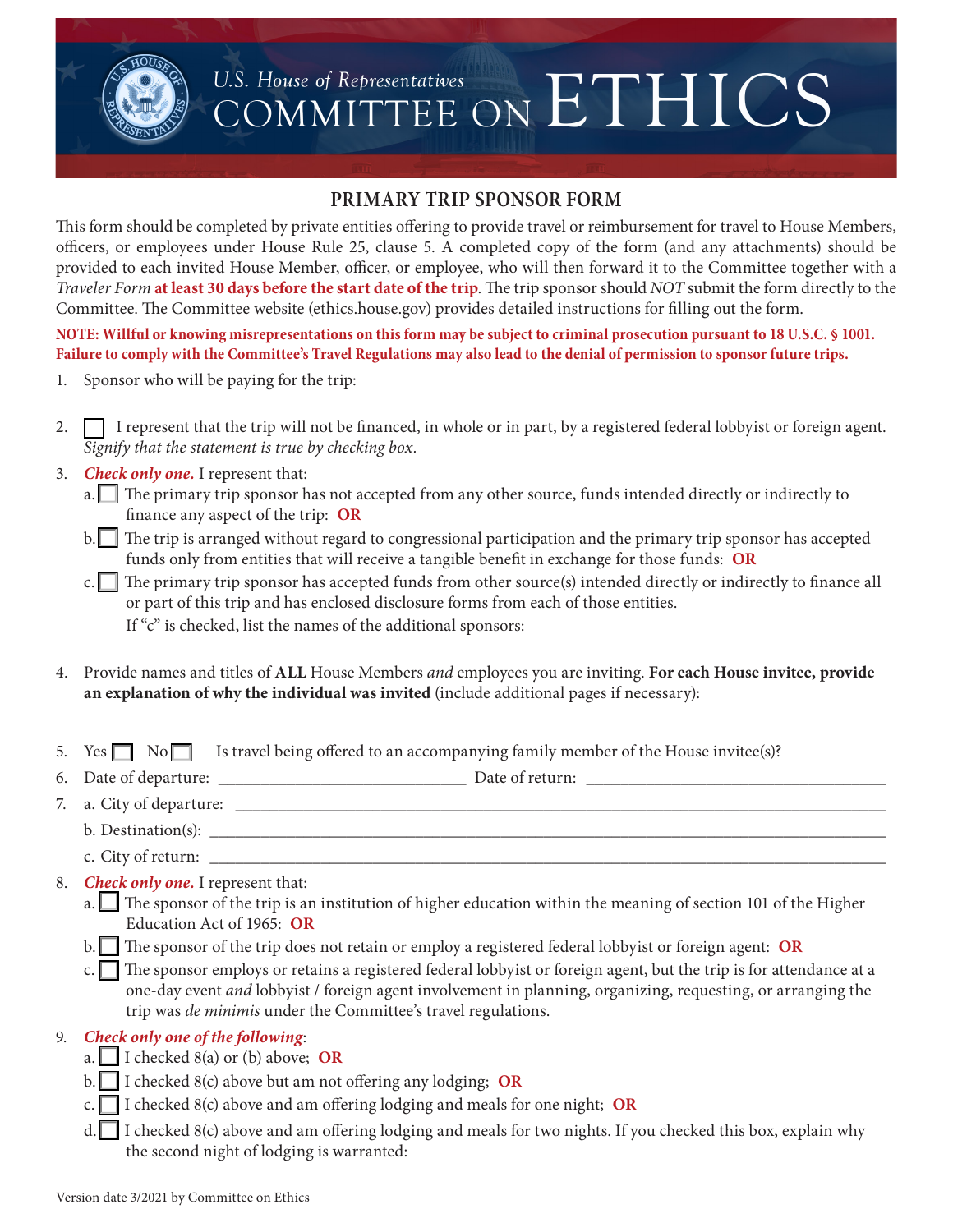

# U.S. House of Representatives<br>COMMITTEE ON ETHICS

### **PRIMARY TRIP SPONSOR FORM**

This form should be completed by private entities offering to provide travel or reimbursement for travel to House Members, officers, or employees under House Rule 25, clause 5. A completed copy of the form (and any attachments) should be provided to each invited House Member, officer, or employee, who will then forward it to the Committee together with a *Traveler Form* **at least 30 days before the start date of the trip**. The trip sponsor should *NOT* submit the form directly to the Committee. The Committee website (ethics.house.gov) provides detailed instructions for filling out the form.

**NOTE: Willful or knowing misrepresentations on this form may be subject to criminal prosecution pursuant to 18 U.S.C. § 1001. Failure to comply with the Committee's Travel Regulations may also lead to the denial of permission to sponsor future trips.**

- 1. Sponsor who will be paying for the trip:
- 2.  $\Box$  I represent that the trip will not be financed, in whole or in part, by a registered federal lobbyist or foreign agent. *Signify that the statement is true by checking box.*
- 3. *Check only one.* I represent that:
	- $a.$  The primary trip sponsor has not accepted from any other source, funds intended directly or indirectly to finance any aspect of the trip: **OR**
	- $b$ . The trip is arranged without regard to congressional participation and the primary trip sponsor has accepted funds only from entities that will receive a tangible benefit in exchange for those funds: **OR**
	- $c$ . The primary trip sponsor has accepted funds from other source(s) intended directly or indirectly to finance all or part of this trip and has enclosed disclosure forms from each of those entities. If "c" is checked, list the names of the additional sponsors:
- 4. Provide names and titles of **ALL** House Members *and* employees you are inviting. **For each House invitee, provide an explanation of why the individual was invited** (include additional pages if necessary):
- 5. Yes  $\Box$  No  $\Box$  Is travel being offered to an accompanying family member of the House invitee(s)?
- 6. Date of departure: \_\_\_\_\_\_\_\_\_\_\_\_\_\_\_\_\_\_\_\_\_\_\_\_\_\_\_\_\_ Date of return: \_\_\_\_\_\_\_\_\_\_\_\_\_\_\_\_\_\_\_\_\_\_\_\_\_\_\_\_\_\_\_\_\_\_\_
- 7. a. City of departure: \_\_\_\_\_\_\_\_\_\_\_\_\_\_\_\_\_\_\_\_\_\_\_\_\_\_\_\_\_\_\_\_\_\_\_\_\_\_\_\_\_\_\_\_\_\_\_\_\_\_\_\_\_\_\_\_\_\_\_\_\_\_\_\_\_\_\_\_\_\_\_\_\_\_\_\_
	- b. Destination(s): \_\_\_\_\_\_\_\_\_\_\_\_\_\_\_\_\_\_\_\_\_\_\_\_\_\_\_\_\_\_\_\_\_\_\_\_\_\_\_\_\_\_\_\_\_\_\_\_\_\_\_\_\_\_\_\_\_\_\_\_\_\_\_\_\_\_\_\_\_\_\_\_\_\_\_\_\_\_\_
		- c. City of return:
	- 8. *Check only one.* I represent that:
		- a. The sponsor of the trip is an institution of higher education within the meaning of section 101 of the Higher Education Act of 1965: **OR**
		- b. The sponsor of the trip does not retain or employ a registered federal lobbyist or foreign agent: OR
		- c. The sponsor employs or retains a registered federal lobbyist or foreign agent, but the trip is for attendance at a one-day event *and* lobbyist / foreign agent involvement in planning, organizing, requesting, or arranging the trip was *de minimis* under the Committee's travel regulations.

#### 9. *Check only one of the following*:

- a.  $\Box$  I checked 8(a) or (b) above; **OR**
- $b.$  I checked 8(c) above but am not offering any lodging; **OR**
- c.  $\Box$  I checked 8(c) above and am offering lodging and meals for one night; OR
- d. I checked 8(c) above and am offering lodging and meals for two nights. If you checked this box, explain why the second night of lodging is warranted: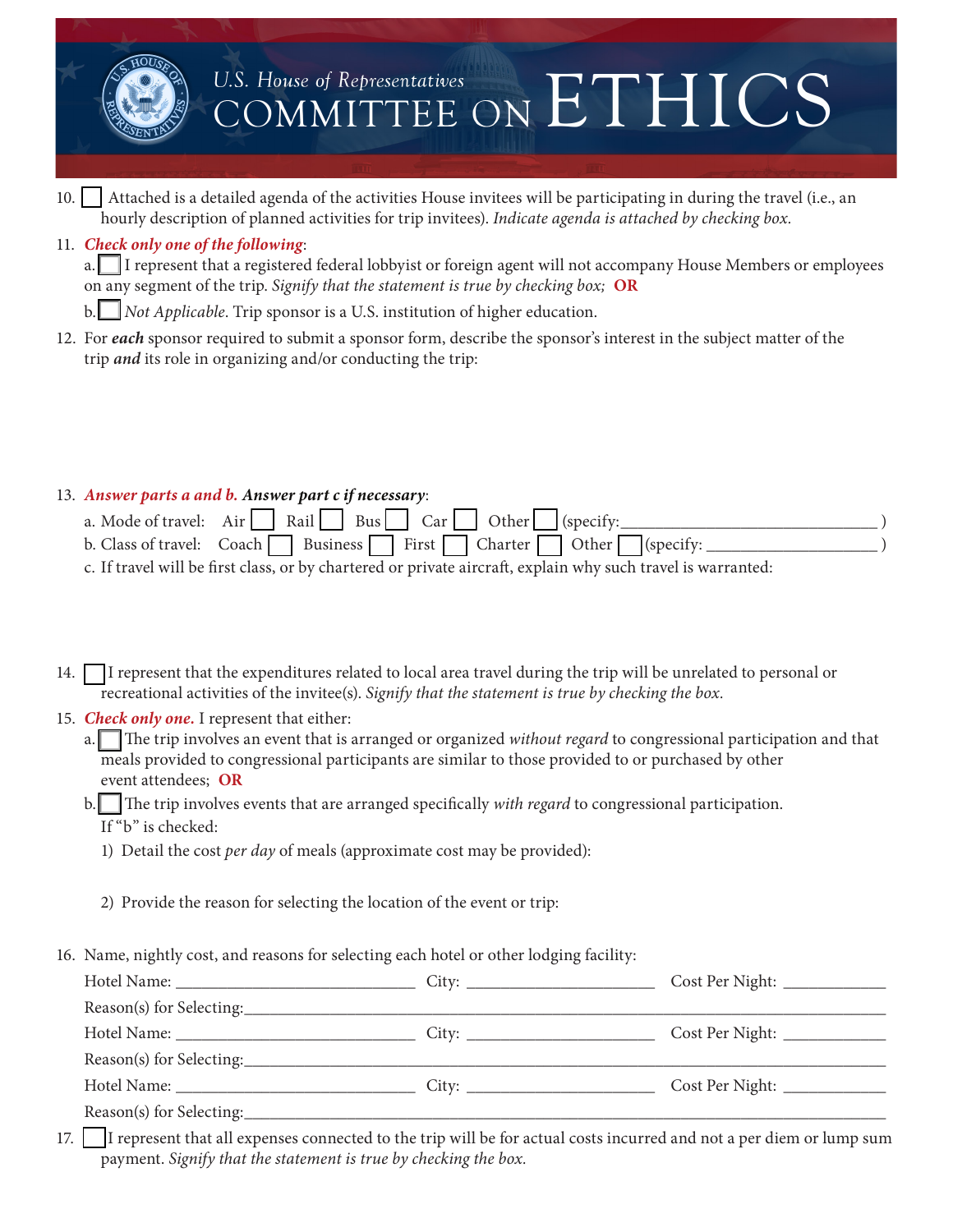

10.  $\vert$  Attached is a detailed agenda of the activities House invitees will be participating in during the travel (i.e., an hourly description of planned activities for trip invitees). *Indicate agenda is attached by checking box.*

#### 11. *Check only one of the following*:

a. I I represent that a registered federal lobbyist or foreign agent will not accompany House Members or employees on any segment of the trip. *Signify that the statement is true by checking box;* **OR**

b. Not *Applicable*. Trip sponsor is a U.S. institution of higher education.

12. For *each* sponsor required to submit a sponsor form, describe the sponsor's interest in the subject matter of the trip *and* its role in organizing and/or conducting the trip:

#### 13. *Answer parts a and b. Answer part c if necessary*:

- a. Mode of travel: Air o Rail o Bus o Car o Other o (specify:\_\_\_\_\_\_\_\_\_\_\_\_\_\_\_\_\_\_\_\_\_\_\_\_\_\_\_\_\_\_ ) b. Class of travel: Coach Business First Charter Other (specify:
- c. If travel will be first class, or by chartered or private aircraft, explain why such travel is warranted:

14.  $\Box$  I represent that the expenditures related to local area travel during the trip will be unrelated to personal or recreational activities of the invitee(s). *Signify that the statement is true by checking the box.*

#### 15. *Check only one.* I represent that either:

a. The trip involves an event that is arranged or organized *without regard* to congressional participation and that meals provided to congressional participants are similar to those provided to or purchased by other event attendees; **OR**

#### b. The trip involves events that are arranged specifically *with regard* to congressional participation. If "b" is checked:

1) Detail the cost *per day* of meals (approximate cost may be provided):

2) Provide the reason for selecting the location of the event or trip:

16. Name, nightly cost, and reasons for selecting each hotel or other lodging facility:

|  | Cost Per Night: _____________  |  |
|--|--------------------------------|--|
|  |                                |  |
|  | Cost Per Night: _____________  |  |
|  |                                |  |
|  |                                |  |
|  |                                |  |
|  | Cost Per Night: ______________ |  |

17. I represent that all expenses connected to the trip will be for actual costs incurred and not a per diem or lump sum payment. *Signify that the statement is true by checking the box.*